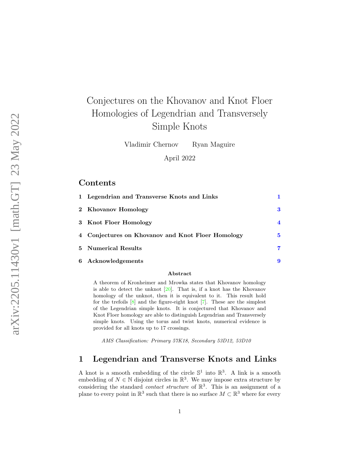# Conjectures on the Khovanov and Knot Floer Homologies of Legendrian and Transversely Simple Knots

Vladimir Chernov Ryan Maguire

April 2022

### Contents

| 1 Legendrian and Transverse Knots and Links       |   |
|---------------------------------------------------|---|
| 2 Khovanov Homology                               | 3 |
| 3 Knot Floer Homology                             | 4 |
| 4 Conjectures on Khovanov and Knot Floer Homology | 5 |
| 5 Numerical Results                               | 7 |
| 6 Acknowledgements                                | 9 |

#### Abstract

A theorem of Kronheimer and Mrowka states that Khovanov homology is able to detect the unknot  $[20]$ . That is, if a knot has the Khovanov homology of the unknot, then it is equivalent to it. This result hold for the trefoils [ [8\]](#page-9-0) and the figure-eight knot [ [7\]](#page-9-1). These are the simplest of the Legendrian simple knots. It is conjectured that Khovanov and Knot Floer homology are able to distinguish Legendrian and Transversely simple knots. Using the torus and twist knots, numerical evidence is provided for all knots up to 17 crossings.

AMS Classification: Primary 57K18, Secondary 53D12, 53D10

#### <span id="page-0-0"></span>1 Legendrian and Transverse Knots and Links

A knot is a smooth embedding of the circle  $\mathbb{S}^1$  into  $\mathbb{R}^3$ . A link is a smooth embedding of  $N \in \mathbb{N}$  disjoint circles in  $\mathbb{R}^3$ . We may impose extra structure by considering the standard *contact structure* of  $\mathbb{R}^3$ . This is an assignment of a plane to every point in  $\mathbb{R}^3$  such that there is no surface  $M \subset \mathbb{R}^3$  where for every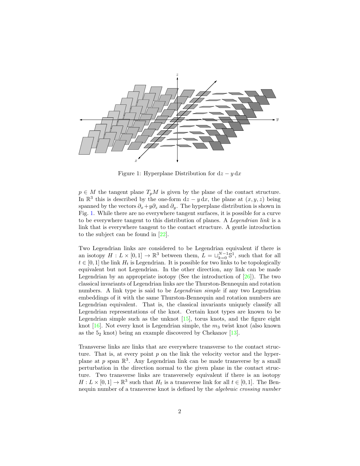

<span id="page-1-0"></span>Figure 1: Hyperplane Distribution for  $dz - y dx$ 

 $p \in M$  the tangent plane  $T_pM$  is given by the plane of the contact structure. In  $\mathbb{R}^3$  this is described by the one-form  $dz - y dx$ , the plane at  $(x, y, z)$  being spanned by the vectors  $\partial_x + y \partial_z$  and  $\partial_y$ . The hyperplane distribution is shown in Fig. [1.](#page-1-0) While there are no everywhere tangent surfaces, it is possible for a curve to be everywhere tangent to this distribution of planes. A Legendrian link is a link that is everywhere tangent to the contact structure. A gentle introduction to the subject can be found in [\[22\]](#page-10-1).

Two Legendrian links are considered to be Legendrian equivalent if there is an isotopy  $H: L \times [0,1] \to \mathbb{R}^3$  between them,  $L = \bigcup_{k=0}^{N-1} \mathbb{S}^1$ , such that for all  $t \in [0, 1]$  the link  $H_t$  is Legendrian. It is possible for two links to be topologically equivalent but not Legendrian. In the other direction, any link can be made Legendrian by an appropriate isotopy (See the introduction of  $[26]$ ). The two classical invariants of Legendrian links are the Thurston-Bennequin and rotation numbers. A link type is said to be *Legendrian simple* if any two Legendrian embeddings of it with the same Thurston-Bennequin and rotation numbers are Legendrian equivalent. That is, the classical invariants uniquely classify all Legendrian representations of the knot. Certain knot types are known to be Legendrian simple such as the unknot  $[15]$ , torus knots, and the figure eight knot  $[16]$ . Not every knot is Legendrian simple, the  $m_3$  twist knot (also known as the  $5<sub>2</sub>$  knot) being an example discovered by Chekanov [\[13\]](#page-9-4).

Transverse links are links that are everywhere transverse to the contact structure. That is, at every point  $p$  on the link the velocity vector and the hyperplane at p span  $\mathbb{R}^3$ . Any Legendrian link can be made transverse by a small perturbation in the direction normal to the given plane in the contact structure. Two transverse links are transversely equivalent if there is an isotopy  $H: L \times [0,1] \to \mathbb{R}^3$  such that  $H_t$  is a transverse link for all  $t \in [0,1]$ . The Bennequin number of a transverse knot is defined by the algebraic crossing number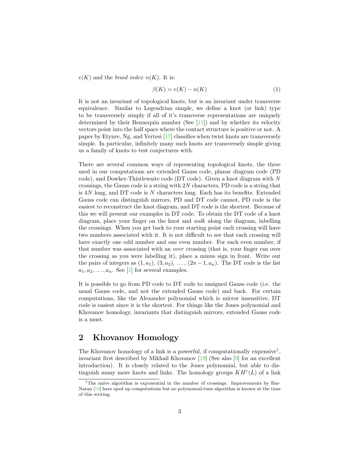$e(K)$  and the *braid index n(K)*. It is:

$$
\beta(K) = e(K) - n(K) \tag{1}
$$

It is not an invariant of topological knots, but is an invariant under transverse equivalence. Similar to Legendrian simple, we define a knot (or link) type to be transversely simply if all of it's transverse representations are uniquely determined by their Bennequin number (See [\[11\]](#page-9-5)) and by whether its velocity vectors point into the half space where the contact structure is positive or not. A paper by Etynre, Ng, and Vertesi [\[17\]](#page-10-3) classifies when twist knots are transversely simple. In particular, infinitely many such knots are transversely simple giving us a family of knots to test conjectures with.

There are several common ways of representing topological knots, the three used in our computations are extended Gauss code, planar diagram code (PD code), and Dowker-Thistlewaite code (DT code). Given a knot diagram with N crossings, the Gauss code is a string with  $2N$  characters, PD code is a string that is 4N long, and DT code is N characters long. Each has its benefits. Extended Gauss code can distinguish mirrors, PD and DT code cannot, PD code is the easiest to reconstruct the knot diagram, and DT code is the shortest. Because of this we will present our examples in DT code. To obtain the DT code of a knot diagram, place your finger on the knot and walk along the diagram, labelling the crossings. When you get back to your starting point each crossing will have two numbers associated with it. It is not difficult to see that each crossing will have exactly one odd number and one even number. For each even number, if that number was associated with an over crossing (that is, your finger ran over the crossing as you were labelling it), place a minus sign in front. Write out the pairs of integers as  $(1, a_1)$ ,  $(3, a_2)$ , ...,  $(2n-1, a_n)$ . The DT code is the list  $a_1, a_2, \ldots, a_n$ . See [\[1\]](#page-9-6) for several examples.

It is possible to go from PD code to DT code to unsigned Gauss code (i.e. the usual Gauss code, and not the extended Gauss code) and back. For certain computations, like the Alexander polynomial which is mirror insensitive, DT code is easiest since it is the shortest. For things like the Jones polynomial and Khovanov homology, invariants that distinguish mirrors, extended Gauss code is a must.

#### <span id="page-2-0"></span>2 Khovanov Homology

The Khovanov homology of a link is a powerful, if computationally expensive<sup>[1](#page-2-1)</sup>, invariant first described by Mikhail Khovanov [\[19\]](#page-10-4) (See also [\[9\]](#page-9-7) for an excellent introduction). It is closely related to the Jones polynomial, but able to distinguish many more knots and links. The homology groups  $KH<sup>r</sup>(L)$  of a link

<span id="page-2-1"></span> $1$ The naïve algorithm is exponential in the number of crossings. Improvements by Bar-Natan [\[10\]](#page-9-8) have sped up computations but no polynomial-time algorithm is known at the time of this writing.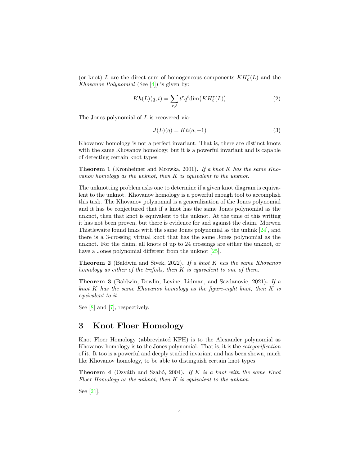(or knot) $L$  are the direct sum of homogeneous components  $KH_{\ell}^r(L)$  and the Khovanov Polynomial (See  $[4]$ ) is given by:

$$
Kh(L)(q,t) = \sum_{r,\ell} t^r q^{\ell} \dim(KH_{\ell}^r(L))
$$
\n(2)

The Jones polynomial of L is recovered via:

$$
J(L)(q) = Kh(q, -1)
$$
\n(3)

Khovanov homology is not a perfect invariant. That is, there are distinct knots with the same Khovanov homology, but it is a powerful invariant and is capable of detecting certain knot types.

Theorem 1 (Kronheimer and Mrowka, 2001). If a knot K has the same Khovanov homology as the unknot, then K is equivalent to the unknot.

The unknotting problem asks one to determine if a given knot diagram is equivalent to the unknot. Khovanov homology is a powerful enough tool to accomplish this task. The Khovanov polynomial is a generalization of the Jones polynomial and it has be conjectured that if a knot has the same Jones polynomial as the unknot, then that knot is equivalent to the unknot. At the time of this writing it has not been proven, but there is evidence for and against the claim. Morwen Thistlewaite found links with the same Jones polynomial as the unlink [\[24\]](#page-10-5), and there is a 3-crossing virtual knot that has the same Jones polynomial as the unknot. For the claim, all knots of up to 24 crossings are either the unknot, or have a Jones polynomial different from the unknot  $[25]$ .

**Theorem 2** (Baldwin and Sivek, 2022). If a knot K has the same Khovanov homology as either of the trefoils, then  $K$  is equivalent to one of them.

Theorem 3 (Baldwin, Dowlin, Levine, Lidman, and Sazdanovic, 2021). If a knot K has the same Khovanov homology as the figure-eight knot, then  $K$  is equivalent to it.

See [\[8\]](#page-9-0) and [\[7\]](#page-9-1), respectively.

#### <span id="page-3-0"></span>3 Knot Floer Homology

Knot Floer Homology (abbreviated KFH) is to the Alexander polynomial as Khovanov homology is to the Jones polynomial. That is, it is the categorification of it. It too is a powerful and deeply studied invariant and has been shown, much like Khovanov homology, to be able to distinguish certain knot types.

**Theorem 4** (Ozváth and Szabó, 2004). If K is a knot with the same Knot Floer Homology as the unknot, then  $K$  is equivalent to the unknot.

See [\[21\]](#page-10-7).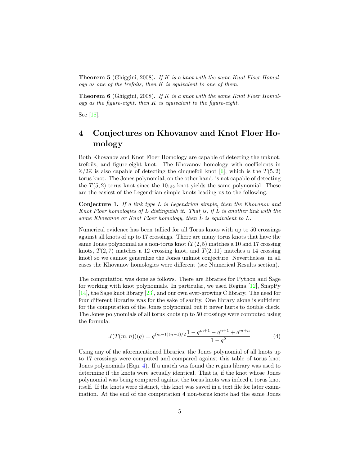**Theorem 5** (Ghiggini, 2008). If K is a knot with the same Knot Floer Homology as one of the trefoils, then  $K$  is equivalent to one of them.

**Theorem 6** (Ghiggini, 2008). If K is a knot with the same Knot Floer Homol $ogy$  as the figure-eight, then  $K$  is equivalent to the figure-eight.

See [\[18\]](#page-10-8).

## <span id="page-4-0"></span>4 Conjectures on Khovanov and Knot Floer Homology

Both Khovanov and Knot Floer Homology are capable of detecting the unknot, trefoils, and figure-eight knot. The Khovanov homology with coefficients in  $\mathbb{Z}/2\mathbb{Z}$  is also capable of detecting the cinquefoil knot [\[6\]](#page-9-10), which is the  $T(5, 2)$ torus knot. The Jones polynomial, on the other hand, is not capable of detecting the  $T(5, 2)$  torus knot since the  $10_{132}$  knot yields the same polynomial. These are the easiest of the Legendrian simple knots leading us to the following.

**Conjecture 1.** If a link type  $L$  is Legendrian simple, then the Khovanov and Knot Floer homologies of L distinguish it. That is, if L is another link with the same Khovanov or Knot Floer homology, then  $L$  is equivalent to  $L$ .

Numerical evidence has been tallied for all Torus knots with up to 50 crossings against all knots of up to 17 crossings. There are many torus knots that have the same Jones polynomial as a non-torus knot  $(T(2, 5)$  matches a 10 and 17 crossing knots,  $T(2, 7)$  matches a 12 crossing knot, and  $T(2, 11)$  matches a 14 crossing knot) so we cannot generalize the Jones unknot conjecture. Nevertheless, in all cases the Khovanov homologies were different (see Numerical Results section).

The computation was done as follows. There are libraries for Python and Sage for working with knot polynomials. In particular, we used Regina [\[12\]](#page-9-11), SnapPy [\[14\]](#page-9-12), the Sage knot library [\[23\]](#page-10-9), and our own ever-growing C library. The need for four different libraries was for the sake of sanity. One library alone is sufficient for the computation of the Jones polynomial but it never hurts to double check. The Jones polynomials of all torus knots up to 50 crossings were computed using the formula:

<span id="page-4-1"></span>
$$
J(T(m,n))(q) = q^{(m-1)(n-1)/2} \frac{1 - q^{m+1} - q^{n+1} + q^{m+n}}{1 - q^2}
$$
 (4)

Using any of the aforementioned libraries, the Jones polynomial of all knots up to 17 crossings were computed and compared against this table of torus knot Jones polynomials (Eqn. [4\)](#page-4-1). If a match was found the regina library was used to determine if the knots were actually identical. That is, if the knot whose Jones polynomial was being compared against the torus knots was indeed a torus knot itself. If the knots were distinct, this knot was saved in a text file for later examination. At the end of the computation 4 non-torus knots had the same Jones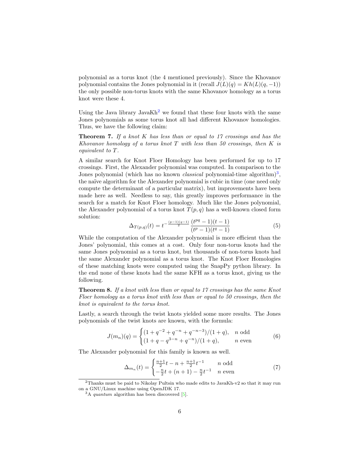polynomial as a torus knot (the 4 mentioned previously). Since the Khovanov polynomial contains the Jones polynomial in it (recall  $J(L)(q) = Kh(L)(q, -1)$ ) the only possible non-torus knots with the same Khovanov homology as a torus knot were these 4.

Using the Java library JavaKh<sup>[2](#page-5-0)</sup> we found that these four knots with the same Jones polynomials as some torus knot all had different Khovanov homologies. Thus, we have the following claim:

**Theorem 7.** If a knot K has less than or equal to 17 crossings and has the Khovanov homology of a torus knot  $T$  with less than 50 crossings, then  $K$  is equivalent to T.

A similar search for Knot Floer Homology has been performed for up to 17 crossings. First, the Alexander polynomial was computed. In comparison to the Jones polynomial (which has no known *classical* polynomial-time algorithm)<sup>[3](#page-5-1)</sup>, the naïve algorithm for the Alexander polynomial is cubic in time (one need only compute the determinant of a particular matrix), but improvements have been made here as well. Needless to say, this greatly improves performance in the search for a match for Knot Floer homology. Much like the Jones polynomial, the Alexander polynomial of a torus knot  $T(p, q)$  has a well-known closed form solution:

$$
\Delta_{T(p,q)}(t) = t^{-\frac{(p-1)(q-1)}{2}} \frac{(t^{pq} - 1)(t-1)}{(t^p - 1)(t^q - 1)}
$$
\n
$$
(5)
$$

While the computation of the Alexander polynomial is more efficient than the Jones' polynomial, this comes at a cost. Only four non-torus knots had the same Jones polynomial as a torus knot, but thousands of non-torus knots had the same Alexander polynomial as a torus knot. The Knot Floer Homologies of these matching knots were computed using the SnapPy python library. In the end none of these knots had the same KFH as a torus knot, giving us the following.

Theorem 8. If a knot with less than or equal to 17 crossings has the same Knot Floer homology as a torus knot with less than or equal to 50 crossings, then the knot is equivalent to the torus knot.

Lastly, a search through the twist knots yielded some more results. The Jones polynomials of the twist knots are known, with the formula:

$$
J(m_n)(q) = \begin{cases} (1+q^{-2}+q^{-n}+q^{-n-3})/(1+q), & n \text{ odd} \\ (1+q-q^{3-n}+q^{-n})/(1+q), & n \text{ even} \end{cases}
$$
(6)

The Alexander polynomial for this family is known as well.

$$
\Delta_{m_n}(t) = \begin{cases} \frac{n+1}{2}t - n + \frac{n+1}{2}t^{-1} & n \text{ odd} \\ -\frac{n}{2}t + (n+1) - \frac{n}{2}t^{-1} & n \text{ even} \end{cases} \tag{7}
$$

<span id="page-5-0"></span><sup>2</sup>Thanks must be paid to Nikolay Pultsin who made edits to JavaKh-v2 so that it may run on a GNU/Linux machine using OpenJDK 17.

<span id="page-5-1"></span> $3A$  quantum algorithm has been discovered [\[5\]](#page-9-13).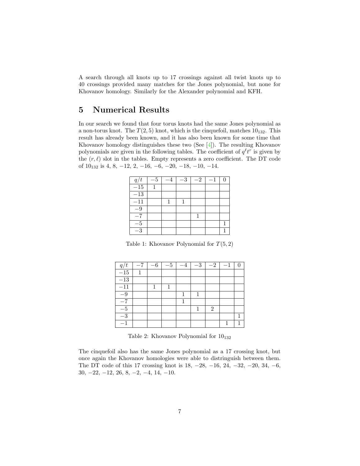A search through all knots up to 17 crossings against all twist knots up to 40 crossings provided many matches for the Jones polynomial, but none for Khovanov homology. Similarly for the Alexander polynomial and KFH.

#### <span id="page-6-0"></span>5 Numerical Results

In our search we found that four torus knots had the same Jones polynomial as a non-torus knot. The  $T(2, 5)$  knot, which is the cinquefoil, matches  $10_{132}$ . This result has already been known, and it has also been known for some time that Khovanov homology distinguishes these two (See [\[4\]](#page-9-9)). The resulting Khovanov polynomials are given in the following tables. The coefficient of  $q^{\ell}t^{r}$  is given by the  $(r, \ell)$  slot in the tables. Empty represents a zero coefficient. The DT code of  $10_{132}$  is 4, 8,  $-12$ , 2,  $-16$ ,  $-6$ ,  $-20$ ,  $-18$ ,  $-10$ ,  $-14$ .

| q/t              | $-5$ | $-3$ | $-2$ | $-1$ |  |
|------------------|------|------|------|------|--|
| $-15$            |      |      |      |      |  |
| $\overline{-13}$ |      |      |      |      |  |
| $-11$            |      |      |      |      |  |
| -9               |      |      |      |      |  |
| $-7$             |      |      |      |      |  |
| -5               |      |      |      |      |  |
| -3               |      |      |      |      |  |

Table 1: Khovanov Polynomial for  $T(5, 2)$ 

| q/               | 6 | $-5$ | $-3$ | $-2$                        |  |
|------------------|---|------|------|-----------------------------|--|
| $\overline{-15}$ |   |      |      |                             |  |
| $\overline{-13}$ |   |      |      |                             |  |
| $-11$            |   |      |      |                             |  |
| $-9$             |   |      |      |                             |  |
| $-7$             |   |      |      |                             |  |
| $-5$             |   |      |      | $\mathcal{D}_{\mathcal{L}}$ |  |
| $\overline{-}3$  |   |      |      |                             |  |
|                  |   |      |      |                             |  |

Table 2: Khovanov Polynomial for  $10_{132}$ 

The cinquefoil also has the same Jones polynomial as a 17 crossing knot, but once again the Khovanov homologies were able to distringuish between them. The DT code of this 17 crossing knot is 18, −28, −16, 24, −32, −20, 34, −6, 30, −22, −12, 26, 8, −2, −4, 14, −10.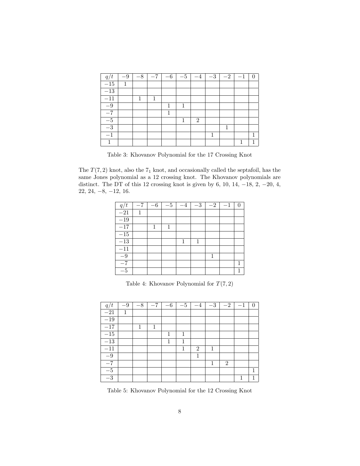| q/t    | $-9$ | $-8$ | $-7$ | $-6$ | $-5$ | $-4$           | $-3$ | $-2$ | $^{-1}$ | ⋂ |
|--------|------|------|------|------|------|----------------|------|------|---------|---|
| $-15$  | 1    |      |      |      |      |                |      |      |         |   |
| $-13$  |      |      |      |      |      |                |      |      |         |   |
| $-11$  |      |      |      |      |      |                |      |      |         |   |
| $-9$   |      |      |      |      | 1    |                |      |      |         |   |
| $-7$   |      |      |      |      |      |                |      |      |         |   |
| $-5\,$ |      |      |      |      |      | $\overline{2}$ |      |      |         |   |
| $-3$   |      |      |      |      |      |                |      |      |         |   |
| $-1$   |      |      |      |      |      |                |      |      |         |   |
|        |      |      |      |      |      |                |      |      |         |   |

Table 3: Khovanov Polynomial for the 17 Crossing Knot

The  $T(7, 2)$  knot, also the  $7<sub>1</sub>$  knot, and occasionally called the septafoil, has the same Jones polynomial as a 12 crossing knot. The Khovanov polynomials are distinct. The DT of this 12 crossing knot is given by 6, 10, 14,  $-18$ , 2,  $-20$ , 4, 22, 24, −8, −12, 16.

| q/t              | $-7$ | $-6$ | $-5$ | $-4$ | $-3$ | $-2$ | $-1$ |  |
|------------------|------|------|------|------|------|------|------|--|
| $-21$            |      |      |      |      |      |      |      |  |
| $-19$            |      |      |      |      |      |      |      |  |
| $-17$            |      |      |      |      |      |      |      |  |
| $\overline{-15}$ |      |      |      |      |      |      |      |  |
| $-13$            |      |      |      | 1    | 1    |      |      |  |
| $\overline{-}11$ |      |      |      |      |      |      |      |  |
| $-9$             |      |      |      |      |      |      |      |  |
| $-\bar{7}$       |      |      |      |      |      |      |      |  |
| $-5$             |      |      |      |      |      |      |      |  |

Table 4: Khovanov Polynomial for  $T(7, 2)$ 

| q/t             | $-9$ | $-8$ | $-7$ | $-6$ | $-5$ | $-4$           | $-3$ | $\overline{-}2$ | $-1$ | $\theta$ |
|-----------------|------|------|------|------|------|----------------|------|-----------------|------|----------|
| $-21$           | 1    |      |      |      |      |                |      |                 |      |          |
| $-19$           |      |      |      |      |      |                |      |                 |      |          |
| $-17$           |      | 1    | 1    |      |      |                |      |                 |      |          |
| $-15$           |      |      |      | 1    | 1    |                |      |                 |      |          |
| $-13$           |      |      |      | 1    | 1    |                |      |                 |      |          |
| $-11$           |      |      |      |      | 1    | $\overline{2}$ | 1    |                 |      |          |
| $-9$            |      |      |      |      |      | 1              |      |                 |      |          |
| $-7$            |      |      |      |      |      |                | 1    | $\overline{2}$  |      |          |
| $-5\,$          |      |      |      |      |      |                |      |                 |      | 1        |
| $\overline{-}3$ |      |      |      |      |      |                |      |                 | 1    |          |

Table 5: Khovanov Polynomial for the 12 Crossing Knot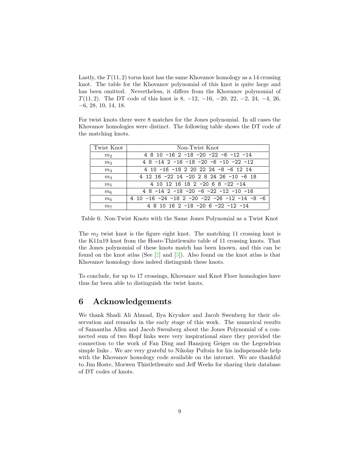Lastly, the  $T(11, 2)$  torus knot has the same Khovanov homology as a 14 crossing knot. The table for the Khovanov polynomial of this knot is quite large and has been omitted. Nevertheless, it differs from the Khovanov polynomial of T(11, 2). The DT code of this knot is 8,  $-12$ ,  $-16$ ,  $-20$ ,  $22$ ,  $-2$ ,  $24$ ,  $-4$ ,  $26$ , −6, 28, 10, 14, 18.

For twist knots there were 8 matches for the Jones polynomial. In all cases the Khovanov homologies were distinct. The following table shows the DT code of the matching knots.

| Twist Knot     | Non-Twist Knot                               |
|----------------|----------------------------------------------|
| m <sub>2</sub> | $4810 - 162 - 18 - 20 - 22 - 6 - 12 - 14$    |
| m <sub>3</sub> | $48 - 142 - 16 - 18 - 20 - 6 - 10 - 22 - 12$ |
| m <sub>3</sub> | 4 10 -16 -18 2 20 22 24 -8 -6 12 14          |
| m <sub>3</sub> | 4 12 16 -22 14 -20 2 8 24 26 -10 -6 18       |
| m <sub>5</sub> | 4 10 12 16 18 2 -20 6 8 -22 -14              |
| $m_6$          | $48 - 142 - 18 - 20 - 6 - 22 - 12 - 10 - 16$ |
| m <sub>6</sub> | 4 10 -16 -24 -18 2 -20 -22 -26 -12 -14 -8 -6 |
| m <sub>7</sub> | 4 8 10 16 2 -18 -20 6 -22 -12 -14            |

Table 6: Non-Twist Knots with the Same Jones Polynomial as a Twist Knot

The  $m_2$  twist knot is the figure eight knot. The matching 11 crossing knot is the K11n19 knot from the Hoste-Thistlewaite table of 11 crossing knots. That the Jones polynomial of these knots match has been known, and this can be found on the knot atlas (See [\[2\]](#page-9-14) and [\[3\]](#page-9-15)). Also found on the knot atlas is that Khovanov homology does indeed distinguish these knots.

To conclude, for up to 17 crossings, Khovanov and Knot Floer homologies have thus far been able to distinguish the twist knots.

#### <span id="page-8-0"></span>6 Acknowledgements

We thank Shadi Ali Ahmad, Ilya Kryukov and Jacob Swenberg for their observation and remarks in the early stage of this work. The numerical results of Samantha Allen and Jacob Swenberg about the Jones Polynomial of a connected sum of two Hopf links were very inspirational since they provided the connection to the work of Fan Ding and Hansjorg Geiges on the Legendrian simple links . We are very grateful to Nikolay Pultsin for his indispensable help with the Khovanov homology code available on the internet. We are thankful to Jim Hoste, Morwen Thistlethwaite and Jeff Weeks for sharing their database of DT codes of knots.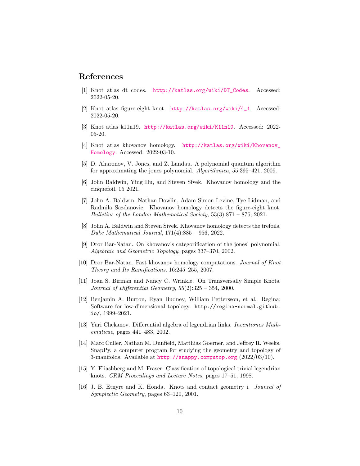#### References

- <span id="page-9-6"></span>[1] Knot atlas dt codes. [http://katlas.org/wiki/DT\\_Codes](http://katlas.org/wiki/DT_Codes). Accessed: 2022-05-20.
- <span id="page-9-14"></span>[2] Knot atlas figure-eight knot. [http://katlas.org/wiki/4\\_1](http://katlas.org/wiki/4_1). Accessed: 2022-05-20.
- <span id="page-9-15"></span>[3] Knot atlas k11n19. <http://katlas.org/wiki/K11n19>. Accessed: 2022- 05-20.
- <span id="page-9-9"></span>[4] Knot atlas khovanov homology. [http://katlas.org/wiki/Khovanov\\_](http://katlas.org/wiki/Khovanov_Homology) [Homology](http://katlas.org/wiki/Khovanov_Homology). Accessed: 2022-03-10.
- <span id="page-9-13"></span>[5] D. Aharonov, V. Jones, and Z. Landau. A polynomial quantum algorithm for approximating the jones polynomial. Algorithmica, 55:395–421, 2009.
- <span id="page-9-10"></span>[6] John Baldwin, Ying Hu, and Steven Sivek. Khovanov homology and the cinquefoil, 05 2021.
- <span id="page-9-1"></span>[7] John A. Baldwin, Nathan Dowlin, Adam Simon Levine, Tye Lidman, and Radmila Sazdanovic. Khovanov homology detects the figure-eight knot. Bulletins of the London Mathematical Society,  $53(3):871 - 876$ ,  $2021$ .
- <span id="page-9-0"></span>[8] John A. Baldwin and Steven Sivek. Khovanov homology detects the trefoils. Duke Mathematical Journal, 171(4):885 – 956, 2022.
- <span id="page-9-7"></span>[9] Dror Bar-Natan. On khovanov's categorification of the jones' polynomial. Algebraic and Geometric Topology, pages 337–370, 2002.
- <span id="page-9-8"></span>[10] Dror Bar-Natan. Fast khovanov homology computations. Journal of Knot Theory and Its Ramifications, 16:245–255, 2007.
- <span id="page-9-5"></span>[11] Joan S. Birman and Nancy C. Wrinkle. On Transversally Simple Knots. Journal of Differential Geometry,  $55(2):325 - 354$ , 2000.
- <span id="page-9-11"></span>[12] Benjamin A. Burton, Ryan Budney, William Pettersson, et al. Regina: Software for low-dimensional topology. http://regina-normal.github. io/, 1999–2021.
- <span id="page-9-4"></span>[13] Yuri Chekanov. Differential algebra of legendrian links. Inventiones Mathematicae, pages 441–483, 2002.
- <span id="page-9-12"></span>[14] Marc Culler, Nathan M. Dunfield, Matthias Goerner, and Jeffrey R. Weeks. SnapPy, a computer program for studying the geometry and topology of 3-manifolds. Available at <http://snappy.computop.org> (2022/03/10).
- <span id="page-9-2"></span>[15] Y. Eliashberg and M. Fraser. Classification of topological trivial legendrian knots. CRM Proceedings and Lecture Notes, pages 17–51, 1998.
- <span id="page-9-3"></span>[16] J. B. Etnyre and K. Honda. Knots and contact geometry i. Jounral of Symplectic Geometry, pages 63–120, 2001.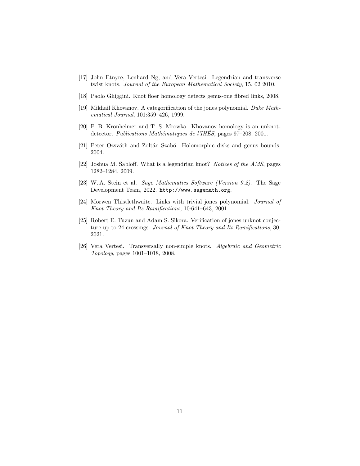- <span id="page-10-3"></span>[17] John Etnyre, Lenhard Ng, and Vera Vertesi. Legendrian and transverse twist knots. Journal of the European Mathematical Society, 15, 02 2010.
- <span id="page-10-8"></span>[18] Paolo Ghiggini. Knot floer homology detects genus-one fibred links, 2008.
- <span id="page-10-4"></span>[19] Mikhail Khovanov. A categorification of the jones polynomial. Duke Mathematical Journal, 101:359–426, 1999.
- <span id="page-10-0"></span>[20] P. B. Kronheimer and T. S. Mrowka. Khovanov homology is an unknotdetector. Publications Mathématiques de l'IHÉS, pages 97–208, 2001.
- <span id="page-10-7"></span>[21] Peter Ozsváth and Zoltán Szabó. Holomorphic disks and genus bounds, 2004.
- <span id="page-10-1"></span>[22] Joshua M. Sabloff. What is a legendrian knot? Notices of the AMS, pages 1282–1284, 2009.
- <span id="page-10-9"></span>[23] W. A. Stein et al. Sage Mathematics Software (Version 9.2). The Sage Development Team, 2022. http://www.sagemath.org.
- <span id="page-10-5"></span>[24] Morwen Thistlethwaite. Links with trivial jones polynomial. Journal of Knot Theory and Its Ramifications, 10:641–643, 2001.
- <span id="page-10-6"></span>[25] Robert E. Tuzun and Adam S. Sikora. Verification of jones unknot conjecture up to 24 crossings. Journal of Knot Theory and Its Ramifications, 30, 2021.
- <span id="page-10-2"></span>[26] Vera Vertesi. Transversally non-simple knots. Algebraic and Geometric Topology, pages 1001–1018, 2008.